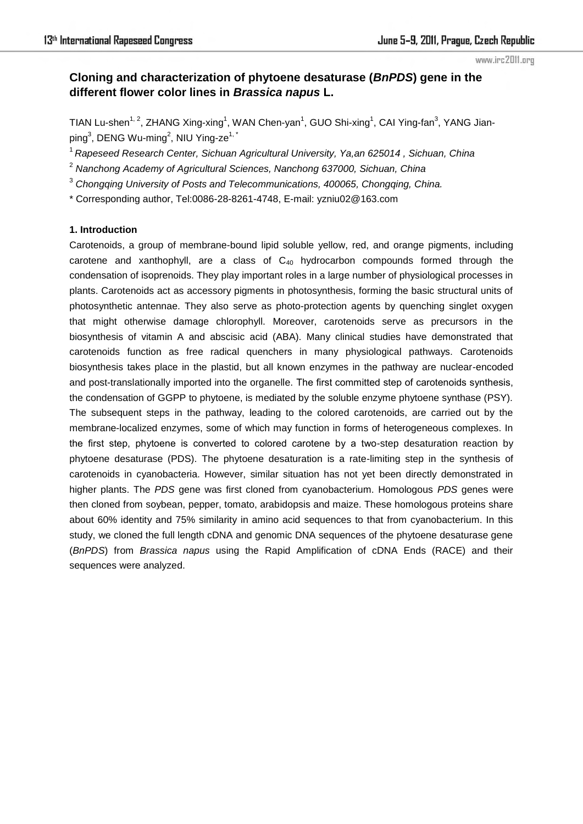#### www.irc2011.org

# **Cloning and characterization of phytoene desaturase (***BnPDS***) gene in the different flower color lines in** *Brassica napus* **L.**

TIAN Lu-shen<sup>1, 2</sup>, ZHANG Xing-xing<sup>1</sup>, WAN Chen-yan<sup>1</sup>, GUO Shi-xing<sup>1</sup>, CAI Ying-fan<sup>3</sup>, YANG Jianping $^3$ , DENG Wu-ming $^2$ , NIU Ying-ze $^{1,\,^\star}$ 

<sup>1</sup>*Rapeseed Research Center, Sichuan Agricultural University, Ya,an 625014 , Sichuan, China* 

- 2  *Nanchong Academy of Agricultural Sciences, Nanchong 637000, Sichuan, China*
- 3  *Chongqing University of Posts and Telecommunications, 400065, Chongqing, China.*
- \* Corresponding author, Tel:0086-28-8261-4748, E-mail: yzniu02@163.com

### **1. Introduction**

Carotenoids, a group of membrane-bound lipid soluble yellow, red, and orange pigments, including carotene and xanthophyll, are a class of  $C_{40}$  hydrocarbon compounds formed through the condensation of isoprenoids. They play important roles in a large number of physiological processes in plants. Carotenoids act as accessory pigments in photosynthesis, forming the basic structural units of photosynthetic antennae. They also serve as photo-protection agents by quenching singlet oxygen that might otherwise damage chlorophyll. Moreover, carotenoids serve as precursors in the biosynthesis of vitamin A and abscisic acid (ABA). Many clinical studies have demonstrated that carotenoids function as free radical quenchers in many physiological pathways. Carotenoids biosynthesis takes place in the plastid, but all known enzymes in the pathway are nuclear-encoded and post-translationally imported into the organelle. The first committed step of carotenoids synthesis, the condensation of GGPP to phytoene, is mediated by the soluble enzyme phytoene synthase (PSY). The subsequent steps in the pathway, leading to the colored carotenoids, are carried out by the membrane-localized enzymes, some of which may function in forms of heterogeneous complexes. In the first step, phytoene is converted to colored carotene by a two-step desaturation reaction by phytoene desaturase (PDS). The phytoene desaturation is a rate-limiting step in the synthesis of carotenoids in cyanobacteria. However, similar situation has not yet been directly demonstrated in higher plants. The *PDS* gene was first cloned from cyanobacterium. Homologous *PDS* genes were then cloned from soybean, pepper, tomato, arabidopsis and maize. These homologous proteins share about 60% identity and 75% similarity in amino acid sequences to that from cyanobacterium. In this study, we cloned the full length cDNA and genomic DNA sequences of the phytoene desaturase gene (*BnPDS*) from *Brassica napus* using the Rapid Amplification of cDNA Ends (RACE) and their sequences were analyzed.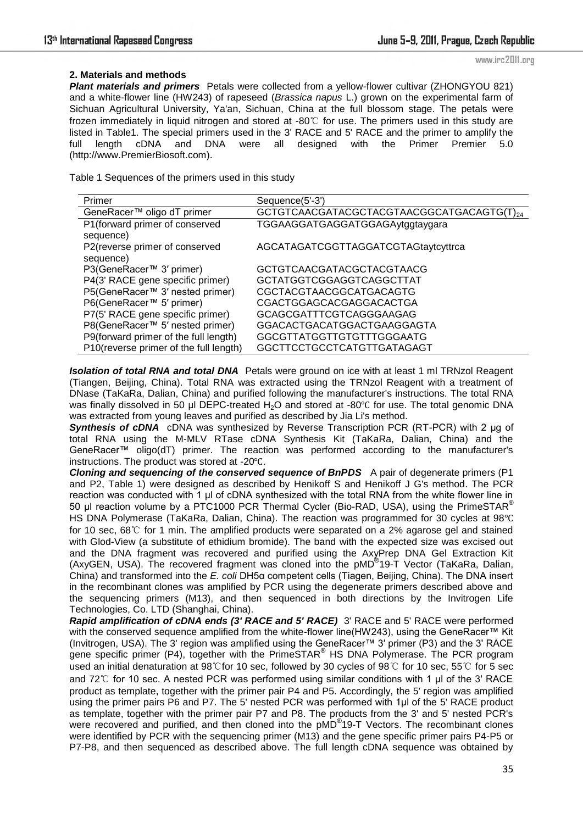### **2. Materials and methods**

**Plant materials and primers** Petals were collected from a vellow-flower cultivar (ZHONGYOU 821) and a white-flower line (HW243) of rapeseed (*Brassica napus* L.) grown on the experimental farm of Sichuan Agricultural University, Ya'an, Sichuan, China at the full blossom stage. The petals were frozen immediately in liquid nitrogen and stored at -80℃ for use. The primers used in this study are listed in Table1. The special primers used in the 3' RACE and 5' RACE and the primer to amplify the full length cDNA and DNA were all designed with the Primer Premier 5.0 (http://www.PremierBiosoft.com).

Table 1 Sequences of the primers used in this study

| Primer                                 | Sequence(5'-3')                           |
|----------------------------------------|-------------------------------------------|
| GeneRacer™ oligo dT primer             | GCTGTCAACGATACGCTACGTAACGGCATGACAGTG(T)24 |
| P1 (forward primer of conserved        | TGGAAGGATGAGGATGGAGAytggtaygara           |
| sequence)                              |                                           |
| P2(reverse primer of conserved         | AGCATAGATCGGTTAGGATCGTAGtaytcyttrca       |
| sequence)                              |                                           |
| P3(GeneRacer™ 3' primer)               | GCTGTCAACGATACGCTACGTAACG                 |
| P4(3' RACE gene specific primer)       | GCTATGGTCGGAGGTCAGGCTTAT                  |
| P5(GeneRacer™ 3' nested primer)        | CGCTACGTAACGGCATGACAGTG                   |
| P6(GeneRacer <sup>™</sup> 5' primer)   | CGACTGGAGCACGAGGACACTGA                   |
| P7(5' RACE gene specific primer)       | GCAGCGATTTCGTCAGGGAAGAG                   |
| P8(GeneRacer™ 5' nested primer)        | GGACACTGACATGGACTGAAGGAGTA                |
| P9(forward primer of the full length)  | GGCGTTATGGTTGTGTTTGGGAATG                 |
| P10(reverse primer of the full length) | GGCTTCCTGCCTCATGTTGATAGAGT                |

*Isolation of total RNA and total DNA* Petals were ground on ice with at least 1 ml TRNzol Reagent (Tiangen, Beijing, China). Total RNA was extracted using the TRNzol Reagent with a treatment of DNase (TaKaRa, Dalian, China) and purified following the manufacturer's instructions. The total RNA was finally dissolved in 50 μl DEPC-treated H<sub>2</sub>O and stored at -80℃ for use. The total genomic DNA was extracted from young leaves and purified as described by Jia Li's method.

**Synthesis of cDNA** cDNA was synthesized by Reverse Transcription PCR (RT-PCR) with 2 μg of total RNA using the M-MLV RTase cDNA Synthesis Kit (TaKaRa, Dalian, China) and the GeneRacer™ oligo(dT) primer. The reaction was performed according to the manufacturer's instructions. The product was stored at -20℃.

*Cloning and sequencing of the conserved sequence of BnPDS* A pair of degenerate primers (P1 and P2, Table 1) were designed as described by Henikoff S and Henikoff J G's method. The PCR reaction was conducted with 1 μl of cDNA synthesized with the total RNA from the white flower line in 50 μl reaction volume by a PTC1000 PCR Thermal Cycler (Bio-RAD, USA), using the PrimeSTAR® HS DNA Polymerase (TaKaRa, Dalian, China). The reaction was programmed for 30 cycles at 98℃ for 10 sec, 68℃ for 1 min. The amplified products were separated on a 2% agarose gel and stained with Glod-View (a substitute of ethidium bromide). The band with the expected size was excised out and the DNA fragment was recovered and purified using the AxyPrep DNA Gel Extraction Kit (AxyGEN, USA). The recovered fragment was cloned into the pMD® 19-T Vector (TaKaRa, Dalian, China) and transformed into the *E. coli* DH5α competent cells (Tiagen, Beijing, China). The DNA insert in the recombinant clones was amplified by PCR using the degenerate primers described above and the sequencing primers (M13), and then sequenced in both directions by the Invitrogen Life Technologies, Co. LTD (Shanghai, China).

*Rapid amplification of cDNA ends (3' RACE and 5' RACE)* 3' RACE and 5' RACE were performed with the conserved sequence amplified from the white-flower line(HW243), using the GeneRacer™ Kit (Invitrogen, USA). The 3' region was amplified using the GeneRacer™ 3′ primer (P3) and the 3' RACE gene specific primer (P4), together with the PrimeSTAR® HS DNA Polymerase. The PCR program used an initial denaturation at 98℃for 10 sec, followed by 30 cycles of 98℃ for 10 sec, 55℃ for 5 sec and 72℃ for 10 sec. A nested PCR was performed using similar conditions with 1 μl of the 3' RACE product as template, together with the primer pair P4 and P5. Accordingly, the 5' region was amplified using the primer pairs P6 and P7. The 5' nested PCR was performed with 1ul of the 5' RACE product as template, together with the primer pair P7 and P8. The products from the 3' and 5' nested PCR's were recovered and purified, and then cloned into the pMD<sup>®</sup>19-T Vectors. The recombinant clones were identified by PCR with the sequencing primer (M13) and the gene specific primer pairs P4-P5 or P7-P8, and then sequenced as described above. The full length cDNA sequence was obtained by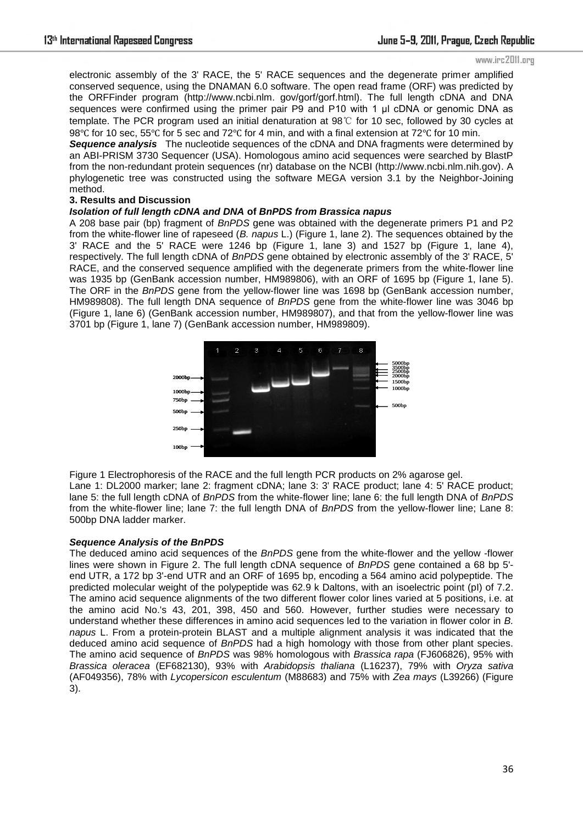#### www.irc2011.org

electronic assembly of the 3' RACE, the 5' RACE sequences and the degenerate primer amplified conserved sequence, using the DNAMAN 6.0 software. The open read frame (ORF) was predicted by the ORFFinder program (http://www.ncbi.nlm. gov/gorf/gorf.html). The full length cDNA and DNA sequences were confirmed using the primer pair P9 and P10 with 1 μl cDNA or genomic DNA as template. The PCR program used an initial denaturation at 98℃ for 10 sec, followed by 30 cycles at 98℃ for 10 sec, 55℃ for 5 sec and 72℃ for 4 min, and with a final extension at 72℃ for 10 min.

*Sequence analysis* The nucleotide sequences of the cDNA and DNA fragments were determined by an ABI-PRISM 3730 Sequencer (USA). Homologous amino acid sequences were searched by BlastP from the non-redundant protein sequences (nr) database on the NCBI (http://www.ncbi.nlm.nih.gov). A phylogenetic tree was constructed using the software MEGA version 3.1 by the Neighbor-Joining method.

### **3. Results and Discussion**

### *Isolation of full length cDNA and DNA* **of** *BnPDS from Brassica napus*

A 208 base pair (bp) fragment of *BnPDS* gene was obtained with the degenerate primers P1 and P2 from the white-flower line of rapeseed (*B. napus* L.) (Figure 1, lane 2). The sequences obtained by the 3' RACE and the 5' RACE were 1246 bp (Figure 1, lane 3) and 1527 bp (Figure 1, lane 4), respectively. The full length cDNA of *BnPDS* gene obtained by electronic assembly of the 3' RACE, 5' RACE, and the conserved sequence amplified with the degenerate primers from the white-flower line was 1935 bp (GenBank accession number, HM989806), with an ORF of 1695 bp (Figure 1, lane 5). The ORF in the *BnPDS* gene from the yellow-flower line was 1698 bp (GenBank accession number, HM989808). The full length DNA sequence of *BnPDS* gene from the white-flower line was 3046 bp (Figure 1, lane 6) (GenBank accession number, HM989807), and that from the yellow-flower line was 3701 bp (Figure 1, lane 7) (GenBank accession number, HM989809).



Figure 1 Electrophoresis of the RACE and the full length PCR products on 2% agarose gel. Lane 1: DL2000 marker; lane 2: fragment cDNA; lane 3: 3' RACE product; lane 4: 5' RACE product; lane 5: the full length cDNA of *BnPDS* from the white-flower line; lane 6: the full length DNA of *BnPDS* from the white-flower line; lane 7: the full length DNA of *BnPDS* from the yellow-flower line; Lane 8: 500bp DNA ladder marker.

### *Sequence Analysis of the BnPDS*

The deduced amino acid sequences of the *BnPDS* gene from the white-flower and the yellow -flower lines were shown in Figure 2. The full length cDNA sequence of *BnPDS* gene contained a 68 bp 5' end UTR, a 172 bp 3'-end UTR and an ORF of 1695 bp, encoding a 564 amino acid polypeptide. The predicted molecular weight of the polypeptide was 62.9 k Daltons, with an isoelectric point (pI) of 7.2. The amino acid sequence alignments of the two different flower color lines varied at 5 positions, i.e. at the amino acid No.'s 43, 201, 398, 450 and 560. However, further studies were necessary to understand whether these differences in amino acid sequences led to the variation in flower color in *B. napus* L. From a protein-protein BLAST and a multiple alignment analysis it was indicated that the deduced amino acid sequence of *BnPDS* had a high homology with those from other plant species. The amino acid sequence of *BnPDS* was 98% homologous with *Brassica rapa* (FJ606826), 95% with *Brassica oleracea* (EF682130), 93% with *Arabidopsis thaliana* (L16237), 79% with *Oryza sativa* (AF049356), 78% with *Lycopersicon esculentum* (M88683) and 75% with *Zea mays* (L39266) (Figure 3).